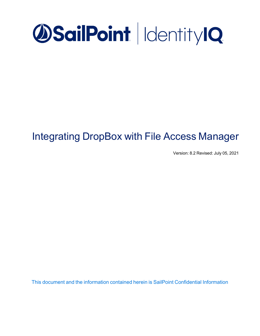

# Integrating DropBox with File Access Manager

Version: 8.2 Revised: July 05, 2021

This document and the information contained herein is SailPoint Confidential Information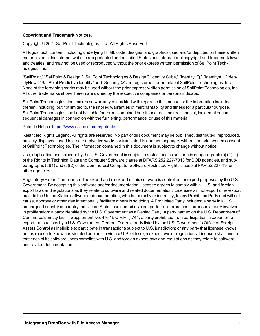## **Copyright and Trademark Notices.**

Copyright © 2021 SailPoint Technologies, Inc. All Rights Reserved.

All logos, text, content, including underlying HTML code, designs, and graphics used and/or depicted on these written materials or in this Internet website are protected under United States and international copyright and trademark laws and treaties, and may not be used or reproduced without the prior express written permission of SailPoint Technologies, Inc.

"SailPoint," "SailPoint & Design," "SailPoint Technologies & Design," "Identity Cube," "Identity IQ," "IdentityAI," "IdentityNow," "SailPoint Predictive Identity" and "SecurityIQ" are registered trademarks of SailPoint Technologies, Inc. None of the foregoing marks may be used without the prior express written permission of SailPoint Technologies, Inc. All other trademarks shown herein are owned by the respective companies or persons indicated.

SailPoint Technologies, Inc. makes no warranty of any kind with regard to this manual or the information included therein, including, but not limited to, the implied warranties of merchantability and fitness for a particular purpose. SailPoint Technologies shall not be liable for errors contained herein or direct, indirect, special, incidental or consequential damages in connection with the furnishing, performance, or use of this material.

### Patents Notice. <https://www.sailpoint.com/patents>

Restricted Rights Legend. All rights are reserved. No part of this document may be published, distributed, reproduced, publicly displayed, used to create derivative works, or translated to another language, without the prior written consent of SailPoint Technologies. The information contained in this document is subject to change without notice.

Use, duplication or disclosure by the U.S. Government is subject to restrictions as set forth in subparagraph (c) (1) (ii) of the Rights in Technical Data and Computer Software clause at DFARS 252.227-7013 for DOD agencies, and subparagraphs (c)(1) and (c)(2) of the Commercial Computer Software Restricted Rights clause at FAR 52.227-19 for other agencies.

Regulatory/Export Compliance. The export and re-export of this software is controlled for export purposes by the U.S. Government. By accepting this software and/or documentation, licensee agrees to comply with all U.S. and foreign export laws and regulations as they relate to software and related documentation. Licensee will not export or re-export outside the United States software or documentation, whether directly or indirectly, to any Prohibited Party and will not cause, approve or otherwise intentionally facilitate others in so doing. A Prohibited Party includes: a party in a U.S. embargoed country or country the United States has named as a supporter of international terrorism; a party involved in proliferation; a party identified by the U.S. Government as a Denied Party; a party named on the U.S. Department of Commerce's Entity List in Supplement No. 4 to 15 C.F.R. § 744; a party prohibited from participation in export or reexport transactions by a U.S. Government General Order; a party listed by the U.S. Government's Office of Foreign Assets Control as ineligible to participate in transactions subject to U.S. jurisdiction; or any party that licensee knows or has reason to know has violated or plans to violate U.S. or foreign export laws or regulations. Licensee shall ensure that each of its software users complies with U.S. and foreign export laws and regulations as they relate to software and related documentation.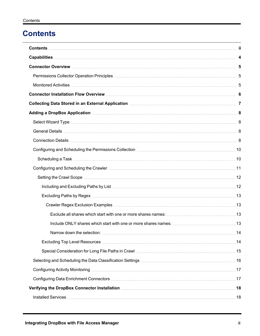# <span id="page-2-0"></span>**Contents**

| Connector Installation Flow Overview Material Account of the Connector Installation Flow Overview Material Account 6                                                     |  |
|--------------------------------------------------------------------------------------------------------------------------------------------------------------------------|--|
| Collecting Data Stored in an External Application [11] Collection [21] Collecting Data Stored in an External Application [20] Matters and Application [20] Matters and T |  |
|                                                                                                                                                                          |  |
|                                                                                                                                                                          |  |
|                                                                                                                                                                          |  |
|                                                                                                                                                                          |  |
|                                                                                                                                                                          |  |
|                                                                                                                                                                          |  |
|                                                                                                                                                                          |  |
|                                                                                                                                                                          |  |
|                                                                                                                                                                          |  |
|                                                                                                                                                                          |  |
|                                                                                                                                                                          |  |
|                                                                                                                                                                          |  |
|                                                                                                                                                                          |  |
|                                                                                                                                                                          |  |
|                                                                                                                                                                          |  |
|                                                                                                                                                                          |  |
|                                                                                                                                                                          |  |
|                                                                                                                                                                          |  |
|                                                                                                                                                                          |  |
| Verifying the DropBox Connector Installation <b>[19] New York Connect Act 2018</b>                                                                                       |  |
|                                                                                                                                                                          |  |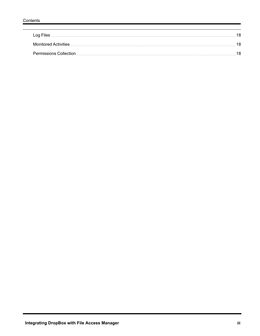| Log Files                     |  |
|-------------------------------|--|
| Monitored Activities          |  |
| <b>Permissions Collection</b> |  |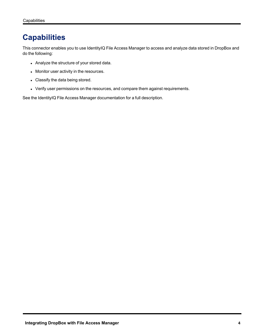# <span id="page-4-0"></span>**Capabilities**

This connector enables you to use IdentityIQ File Access Manager to access and analyze data stored in DropBox and do the following:

- Analyze the structure of your stored data.
- Monitor user activity in the resources.
- Classify the data being stored.
- Verify user permissions on the resources, and compare them against requirements.

See the IdentityIQ File Access Manager documentation for a full description.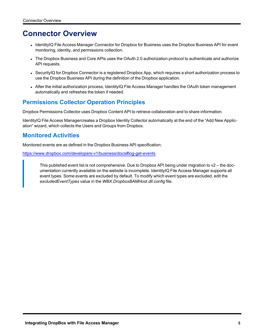# <span id="page-5-0"></span>**Connector Overview**

- IdentityIQ File Access Manager Connector for Dropbox for Business uses the Dropbox Business API for event monitoring, identity, and permissions collection.
- The Dropbox Business and Core APIs uses the OAuth 2.0 authorization protocol to authenticate and authorize API requests.
- SecurityIQ for Dropbox Connector is a registered Dropbox App, which requires a short authorization process to use the Dropbox Business API during the definition of the Dropbox application.
- After the initial authorization process, IdentityIQ File Access Manager handles the OAuth token management automatically and refreshes the token if needed.

# <span id="page-5-1"></span>**Permissions Collector Operation Principles**

Dropbox Permissions Collector uses Dropbox Content API to retrieve collaboration and to share information.

<span id="page-5-2"></span>IdentityIQ File Access Managercreates a Dropbox Identity Collector automatically at the end of the "Add New Application" wizard, which collects the Users and Groups from Dropbox.

# **Monitored Activities**

Monitored events are as defined in the Dropbox Business API specification:

<https://www.dropbox.com/developers-v1/business/docs#log-get-events>

This published event list is not comprehensive. Due to Dropbox API being under migration to v2 – the documentation currently available on the website is incomplete. IdentityIQ File Access Manager supports all event types. Some events are excluded by default. To modify which event types are excluded, edit the *excludedEventTypes* value in the *WBX.DropboxBAMHost.dll.config* file.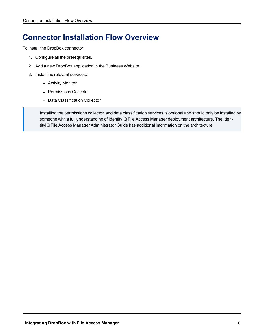# <span id="page-6-0"></span>**Connector Installation Flow Overview**

To install the DropBox connector:

- 1. Configure all the prerequisites.
- 2. Add a new DropBox application in the Business Website.
- 3. Install the relevant services:
	- Activity Monitor
	- Permissions Collector
	- Data Classification Collector

Installing the permissions collector and data classification services is optional and should only be installed by someone with a full understanding of IdentityIQ File Access Manager deployment architecture. The IdentityIQ File Access Manager Administrator Guide has additional information on the architecture.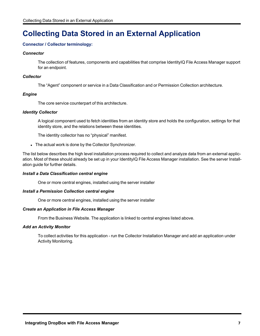# <span id="page-7-0"></span>**Collecting Data Stored in an External Application**

## **Connector / Collector terminology:**

### *Connector*

The collection of features, components and capabilities that comprise IdentityIQ File Access Manager support for an endpoint.

## *Collector*

The "Agent" component or service in a Data Classification and or Permission Collection architecture.

## *Engine*

The core service counterpart of this architecture.

### *Identity Collector*

A logical component used to fetch identities from an identity store and holds the configuration, settings for that identity store, and the relations between these identities.

The identity collector has no "physical" manifest.

• The actual work is done by the Collector Synchronizer.

The list below describes the high level installation process required to collect and analyze data from an external application. Most of these should already be set up in your IdentityIQ File Access Manager installation. See the server Installation guide for further details.

## *Install a Data Classification central engine*

One or more central engines, installed using the server installer

## *Install a Permission Collection central engine*

One or more central engines, installed using the server installer

#### *Create an Application in File Access Manager*

From the Business Website. The application is linked to central engines listed above.

## *Add an Activity Monitor*

To collect activities for this application - run the Collector Installation Manager and add an application under Activity Monitoring.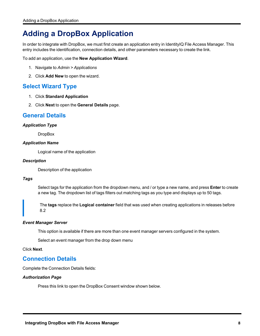# <span id="page-8-0"></span>**Adding a DropBox Application**

In order to integrate with DropBox, we must first create an application entry in IdentityIQ File Access Manager. This entry includes the identification, connection details, and other parameters necessary to create the link.

To add an application, use the **New Application Wizard**.

- 1. Navigate to *Admin > Applications*
- <span id="page-8-1"></span>2. Click **Add New** to open the wizard.

# **Select Wizard Type**

- 1. Click **Standard Application**
- <span id="page-8-2"></span>2. Click **Next** to open the **General Details** page.

# **General Details**

### *Application Type*

**DropBox** 

### *Application Name*

Logical name of the application

### *Description*

Description of the application

## *Tags*

Select tags for the application from the dropdown menu, and / or type a new name, and press **Enter** to create a new tag. The dropdown list of tags filters out matching tags as you type and displays up to 50 tags.

The **tags** replace the **Logical container** field that was used when creating applications in releases before 8.2

## *Event Manager Server*

This option is available if there are more than one event manager servers configured in the system.

Select an event manager from the drop down menu

<span id="page-8-3"></span>Click **Next**.

# **Connection Details**

Complete the Connection Details fields:

#### *Authorization Page*

Press this link to open the DropBox Consent window shown below.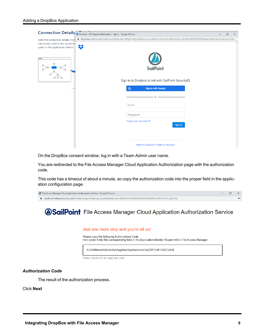

On the DropBox consent window, log in with a Team Admin user name.

You are redirected to the File Access Manager Cloud Application Authorization page with the authorization code.

This code has a timeout of about a minute, so copy the authorization code into the proper field in the application configuration page.

| File Access Manager Cloud Application Authorization Service - Google Chrome                                    | $ \Box$ $\times$ |  |
|----------------------------------------------------------------------------------------------------------------|------------------|--|
| ■ oauth.whiteboxsecurity.com/Callback.aspx?state=quhvashabda&code=6MqPfziXA2AAAAAAAAAAKneH4CJwPiz1VB1S_3leC3JU |                  |  |

# **SailPoint** File Access Manager Cloud Application Authorization Service

#### Just one more step and you're all set

Please copy the following Authorization Code

then paste it into the corresponding field in the Application Monitor Wizard within File Access Manager

6Gi5zf8mzoiA2iAzAdAAAagAihAlApAloiietne4CwQRPiGzB1S3lC3JUX

Press Control+C to copy the code

#### *Authorization Code*

The result of the authorization process.

Click **Next**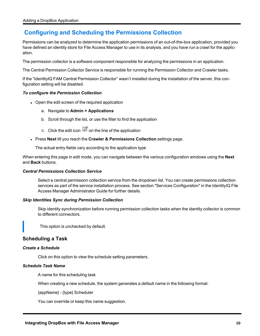# <span id="page-10-0"></span>**Configuring and Scheduling the Permissions Collection**

Permissions can be analyzed to determine the application permissions of an out-of-the-box application, provided you have defined an identity store for File Access Manager to use in its analysis, and you have run a crawl for the application.

The permission collector is a software component responsible for analyzing the permissions in an application.

The Central Permission Collector Service is responsible for running the Permission Collector and Crawler tasks.

If the "IdentityIQ FAM Central Permission Collector" wasn't installed during the installation of the server, this configuration setting will be disabled.

### *To configure the Permission Collection*

- Open the edit screen of the required application
	- a. Navigate to **Admin > Applications**
	- b. Scroll through the list, or use the filter to find the application
	- c. Click the edit icon  $\overline{\mathscr{Q}}$  on the line of the application
- <sup>l</sup> Press **Next** till you reach the **Crawler & Permissions Collection** settings page.

The actual entry fields vary according to the application type

When entering this page in edit mode, you can navigate between the various configuration windows using the **Next** and **Back** buttons.

#### *Central Permissions Collection Service*

Select a central permission collection service from the dropdown list. You can create permissions collection services as part of the service installation process. See section "Services Configuration" in the IdentityIQ File Access Manager Administrator Guide for further details.

#### *Skip Identities Sync during Permission Collection*

Skip identity synchronization before running permission collection tasks when the identity collector is common to different connectors.

This option is unchecked by default.

# <span id="page-10-1"></span>**Scheduling a Task**

#### *Create a Schedule*

Click on this option to view the schedule setting parameters.

#### *Schedule Task Name*

A name for this scheduling task

When creating a new schedule, the system generates a default name in the following format:

{appName} - {type} Scheduler

You can override or keep this name suggestion.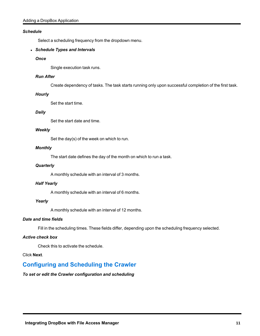## *Schedule*

Select a scheduling frequency from the dropdown menu.

## <sup>l</sup> *Schedule Types and Intervals*

## *Once*

Single execution task runs.

### *Run After*

Create dependency of tasks. The task starts running only upon successful completion of the first task.

### *Hourly*

Set the start time.

### *Daily*

Set the start date and time.

#### *Weekly*

Set the day(s) of the week on which to run.

### *Monthly*

The start date defines the day of the month on which to run a task.

### *Quarterly*

A monthly schedule with an interval of 3 months.

#### *Half Yearly*

A monthly schedule with an interval of 6 months.

## *Yearly*

A monthly schedule with an interval of 12 months.

## *Date and time fields*

Fill in the scheduling times. These fields differ, depending upon the scheduling frequency selected.

#### *Active check box*

Check this to activate the schedule.

#### <span id="page-11-0"></span>Click **Next**.

# **Configuring and Scheduling the Crawler**

# *To set or edit the Crawler configuration and scheduling*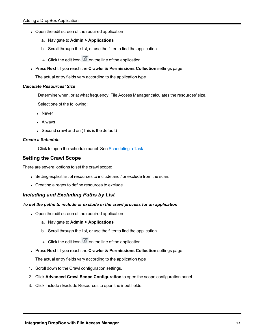- Open the edit screen of the required application
	- a. Navigate to **Admin > Applications**
	- b. Scroll through the list, or use the filter to find the application
	- c. Click the edit icon  $\overline{\mathscr{Q}}$  on the line of the application
- <sup>l</sup> Press **Next** till you reach the **Crawler & Permissions Collection** settings page.

The actual entry fields vary according to the application type

### *Calculate Resources' Size*

Determine when, or at what frequency, File Access Manager calculates the resources' size.

Select one of the following:

- Never
- Alwavs
- Second crawl and on (This is the default)

### *Create a Schedule*

Click to open the schedule panel. See [Scheduling](#page-10-1) a Task

# <span id="page-12-0"></span>**Setting the Crawl Scope**

There are several options to set the crawl scope:

- Setting explicit list of resources to include and / or exclude from the scan.
- Creating a regex to define resources to exclude.

# <span id="page-12-1"></span>*Including and Excluding Paths by List*

## *To set the paths to include or exclude in the crawl process for an application*

- Open the edit screen of the required application
	- a. Navigate to **Admin > Applications**
	- b. Scroll through the list, or use the filter to find the application
	- c. Click the edit icon  $\mathbb Z$  on the line of the application
- <sup>l</sup> Press **Next** till you reach the **Crawler & Permissions Collection** settings page.

The actual entry fields vary according to the application type

- 1. Scroll down to the Crawl configuration settings.
- 2. Click **Advanced Crawl Scope Configuration** to open the scope configuration panel.
- 3. Click Include / Exclude Resources to open the input fields.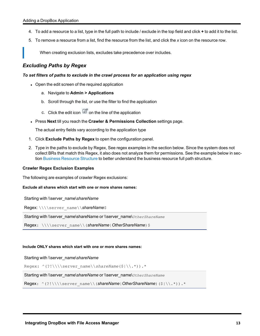- 4. To add a resource to a list, type in the full path to include / exclude in the top field and click **+** to add it to the list.
- 5. To remove a resource from a list, find the resource from the list, and click the *x* icon on the resource row.

When creating exclusion lists, excludes take precedence over includes.

# <span id="page-13-0"></span>*Excluding Paths by Regex*

#### *To set filters of paths to exclude in the crawl process for an application using regex*

- Open the edit screen of the required application
	- a. Navigate to **Admin > Applications**
	- b. Scroll through the list, or use the filter to find the application
	- c. Click the edit icon  $\mathbb Z$  on the line of the application
- <sup>l</sup> Press **Next** till you reach the **Crawler & Permissions Collection** settings page.

The actual entry fields vary according to the application type

- 1. Click **Exclude Paths by Regex** to open the configuration panel.
- 2. Type in the paths to exclude by Regex, See regex examples in the section below. Since the system does not collect BRs that match this Regex, it also does not analyze them for permissions. See the example below in section Business [Resource](../../../../../../Content/Admin_Guide/BusinessResourceStruct.htm) Structure to better understand the business resource full path structure.

#### <span id="page-13-1"></span>**Crawler Regex Exclusion Examples**

The following are examples of crawler Regex exclusions:

#### <span id="page-13-2"></span>**Exclude all shares which start with one or more shares names:**

Starting with \\server\_name\*shareName*

Regex: \\\\server\_name\\*shareName*\$

Starting with \\server\_name\shareName or \\server\_name\*OtherShareName*

Regex: \\\\server\_name\\(*shareName*|OtherShareName)\$

#### <span id="page-13-3"></span>**Include ONLY shares which start with one or more shares names:**

#### Starting with \\server\_name\*shareName*

Regex: ^(?!\\\\server\_name\\*shareName*(\$|\\.\*)).\*

Starting with \\server\_name\*shareName* or \\server\_name\*OtherShareName*

Regex: ^(?!\\\\server\_name\\(*shareName*|*OtherShareName*)(\$|\\.\*)).\*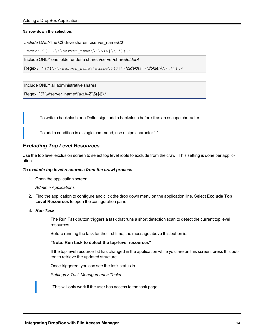<span id="page-14-0"></span>**Narrow down the selection:**

```
Include ONLY the C$ drive shares: \\server_name\C$
```

```
Regex: ^(?!\\\\server_name\\C\$($|\\.*)).*
```
Include ONLY one folder under a share: \\server\share\*folderA*

Regex: ^(?!\\\\server\_name\\share\\$(\$|\\*folderA*\$|\\*folderA*\\.\*)).\*

Include ONLY all administrative shares

```
Regex: ^(?!\\\\server_name\\[a-zA-Z]\$($|)).*
```
To write a backslash or a Dollar sign, add a backslash before it as an escape character.

To add a condition in a single command, use a pipe character "|" .

# <span id="page-14-1"></span>*Excluding Top Level Resources*

Use the top level exclusion screen to select top level roots to exclude from the crawl. This setting is done per application.

#### *To exclude top level resources from the crawl process*

1. Open the application screen

#### *Admin > Applications*

- 2. Find the application to configure and click the drop down menu on the application line. Select **Exclude Top Level Resources** to open the configuration panel.
- 3. *Run Task*

The Run Task button triggers a task that runs a short detection scan to detect the current top level resources.

Before running the task for the first time, the message above this button is:

#### **"Note: Run task to detect the top-level resources"**

If the top level resource list has changed in the application while yo u are on this screen, press this button to retrieve the updated structure.

Once triggered, you can see the task status in

*Settings > Task Management > Tasks*

This will only work if the user has access to the task page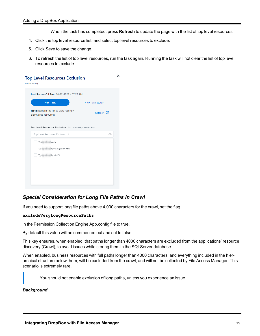When the task has completed, press **Refresh** to update the page with the list of top level resources.

- 4. Click the top level resource list, and select top level resources to exclude.
- 5. Click *Save* to save the change.
- 6. To refresh the list of top level resources, run the task again. Running the task will not clear the list of top level resources to exclude.

| <b>Run Task</b>                                                  | <b>View Task Status</b> |
|------------------------------------------------------------------|-------------------------|
| Note: Refresh the list to view recently<br>discovered resources. | Refresh $\Theta$        |
| Top Level Resources Exclusion List                               | ᄉ                       |
| $\sqrt{5}$<br>\\si 5\MSSQLSERVER                                 |                         |
| \\si 5\print\$                                                   |                         |
|                                                                  |                         |
|                                                                  |                         |

# <span id="page-15-0"></span>*Special Consideration for Long File Paths in Crawl*

If you need to support long file paths above 4,000 characters for the crawl, set the flag

#### **excludeVeryLongResourcePaths**

in the Permission Collection Engine App.config file to true.

By default this value will be commented out and set to false.

This key ensures, when enabled, that paths longer than 4000 characters are excluded from the applications' resource discovery (Crawl), to avoid issues while storing them in the SQLServer database.

When enabled, business resources with full paths longer than 4000 characters, and everything included in the hierarchical structure below them, will be excluded from the crawl, and will not be collected by File Access Manager. This scenario is extremely rare.

You should not enable exclusion of long paths, unless you experience an issue.

## *Background*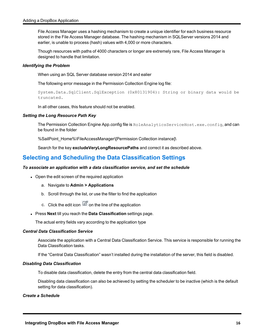File Access Manager uses a hashing mechanism to create a unique identifier for each business resource stored in the File Access Manager database. The hashing mechanism in SQLServer versions 2014 and earlier, is unable to process (hash) values with 4,000 or more characters.

Though resources with paths of 4000 characters or longer are extremely rare, File Access Manager is designed to handle that limitation.

#### *Identifying the Problem*

When using an SQL Server database version 2014 and ealier

The following error message in the Permission Collection Engine log file:

System.Data.SqlClient.SqlException (0x80131904): String or binary data would be truncated.

In all other cases, this feature should not be enabled.

#### *Setting the Long Resource Path Key*

The Permission Collection Engine App.config file is RoleAnalyticsServiceHost.exe.config, and can be found in the folder

%SailPoint\_Home%\FileAccessManager\[Permission Collection instance]\

Search for the key **excludeVeryLongResourcePaths** and correct it as described above.

# <span id="page-16-0"></span>**Selecting and Scheduling the Data Classification Settings**

#### *To associate an application with a data classification service, and set the schedule*

- Open the edit screen of the required application
	- a. Navigate to **Admin > Applications**
	- b. Scroll through the list, or use the filter to find the application
	- c. Click the edit icon  $\mathbb Z$  on the line of the application
- <sup>l</sup> Press **Next** till you reach the **Data Classification** settings page.

The actual entry fields vary according to the application type

#### *Central Data Classification Service*

Associate the application with a Central Data Classification Service. This service is responsible for running the Data Classification tasks.

If the "Central Data Classification" wasn't installed during the installation of the server, this field is disabled.

#### *Disabling Data Classification*

To disable data classification, delete the entry from the central data classification field.

Disabling data classification can also be achieved by setting the scheduler to be inactive (which is the default setting for data classification).

#### *Create a Schedule*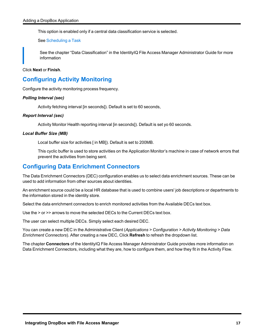This option is enabled only if a central data classification service is selected.

See [Scheduling](#page-10-1) a Task

See the chapter "Data Classification" in the IdentityIQ File Access Manager Administrator Guide for more information

<span id="page-17-0"></span>Click **Next** or **Finish**.

# **Configuring Activity Monitoring**

Configure the activity monitoring process frequency.

### *Polling Interval (sec)*

Activity fetching interval [in seconds]). Default is set to 60 seconds,

#### *Report Interval (sec)*

Activity Monitor Health reporting interval [in seconds]). Default is set yo 60 seconds.

#### *Local Buffer Size (MB)*

Local buffer size for activities [ in MB]). Default is set to 200MB.

This cyclic buffer is used to store activities on the Application Monitor's machine in case of network errors that prevent the activities from being sent.

# <span id="page-17-1"></span>**Configuring Data Enrichment Connectors**

The Data Enrichment Connectors (DEC) configuration enables us to select data enrichment sources. These can be used to add information from other sources about identities.

An enrichment source could be a local HR database that is used to combine users' job descriptions or departments to the information stored in the identity store.

Select the data enrichment connectors to enrich monitored activities from the Available DECs text box.

Use the > or >> arrows to move the selected DECs to the Current DECs text box.

The user can select multiple DECs. Simply select each desired DEC.

You can create a new DEC in the Administrative Client (*Applications > Configuration > Activity Monitoring > Data Enrichment Connectors*). After creating a new DEC, Click **Refresh** to refresh the dropdown list.

The chapter **Connectors** of the IdentityIQ File Access Manager Administrator Guide provides more information on Data Enrichment Connectors, including what they are, how to configure them, and how they fit in the Activity Flow.